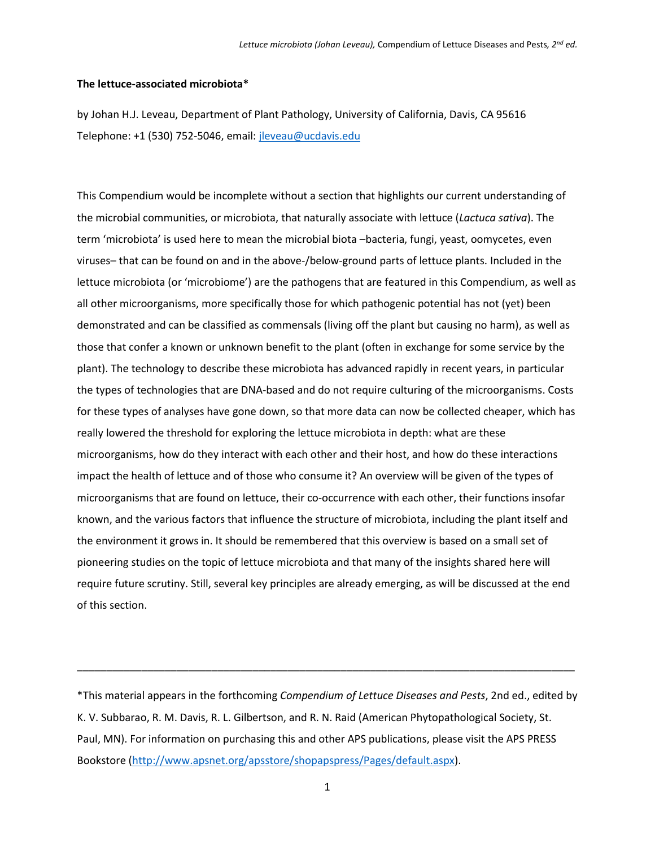#### **The lettuce-associated microbiota\***

by Johan H.J. Leveau, Department of Plant Pathology, University of California, Davis, CA 95616 Telephone: +1 (530) 752-5046, email: [jleveau@ucdavis.edu](mailto:jleveau@ucdavis.edu)

This Compendium would be incomplete without a section that highlights our current understanding of the microbial communities, or microbiota, that naturally associate with lettuce (*Lactuca sativa*). The term 'microbiota' is used here to mean the microbial biota –bacteria, fungi, yeast, oomycetes, even viruses– that can be found on and in the above-/below-ground parts of lettuce plants. Included in the lettuce microbiota (or 'microbiome') are the pathogens that are featured in this Compendium, as well as all other microorganisms, more specifically those for which pathogenic potential has not (yet) been demonstrated and can be classified as commensals (living off the plant but causing no harm), as well as those that confer a known or unknown benefit to the plant (often in exchange for some service by the plant). The technology to describe these microbiota has advanced rapidly in recent years, in particular the types of technologies that are DNA-based and do not require culturing of the microorganisms. Costs for these types of analyses have gone down, so that more data can now be collected cheaper, which has really lowered the threshold for exploring the lettuce microbiota in depth: what are these microorganisms, how do they interact with each other and their host, and how do these interactions impact the health of lettuce and of those who consume it? An overview will be given of the types of microorganisms that are found on lettuce, their co-occurrence with each other, their functions insofar known, and the various factors that influence the structure of microbiota, including the plant itself and the environment it grows in. It should be remembered that this overview is based on a small set of pioneering studies on the topic of lettuce microbiota and that many of the insights shared here will require future scrutiny. Still, several key principles are already emerging, as will be discussed at the end of this section.

\*This material appears in the forthcoming *Compendium of Lettuce Diseases and Pests*, 2nd ed., edited by K. V. Subbarao, R. M. Davis, R. L. Gilbertson, and R. N. Raid (American Phytopathological Society, St. Paul, MN). For information on purchasing this and other APS publications, please visit the APS PRESS Bookstore [\(http://www.apsnet.org/apsstore/shopapspress/Pages/default.aspx\)](http://www.apsnet.org/apsstore/shopapspress/Pages/default.aspx).

\_\_\_\_\_\_\_\_\_\_\_\_\_\_\_\_\_\_\_\_\_\_\_\_\_\_\_\_\_\_\_\_\_\_\_\_\_\_\_\_\_\_\_\_\_\_\_\_\_\_\_\_\_\_\_\_\_\_\_\_\_\_\_\_\_\_\_\_\_\_\_\_\_\_\_\_\_\_\_\_\_\_\_\_\_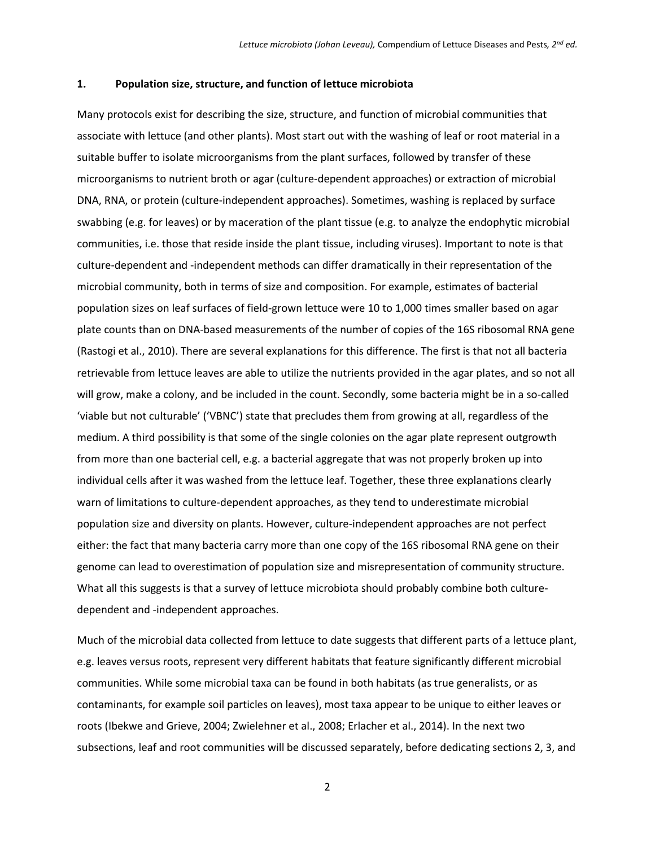#### **1. Population size, structure, and function of lettuce microbiota**

Many protocols exist for describing the size, structure, and function of microbial communities that associate with lettuce (and other plants). Most start out with the washing of leaf or root material in a suitable buffer to isolate microorganisms from the plant surfaces, followed by transfer of these microorganisms to nutrient broth or agar (culture-dependent approaches) or extraction of microbial DNA, RNA, or protein (culture-independent approaches). Sometimes, washing is replaced by surface swabbing (e.g. for leaves) or by maceration of the plant tissue (e.g. to analyze the endophytic microbial communities, i.e. those that reside inside the plant tissue, including viruses). Important to note is that culture-dependent and -independent methods can differ dramatically in their representation of the microbial community, both in terms of size and composition. For example, estimates of bacterial population sizes on leaf surfaces of field-grown lettuce were 10 to 1,000 times smaller based on agar plate counts than on DNA-based measurements of the number of copies of the 16S ribosomal RNA gene [\(Rastogi et al., 2010\)](#page-10-0). There are several explanations for this difference. The first is that not all bacteria retrievable from lettuce leaves are able to utilize the nutrients provided in the agar plates, and so not all will grow, make a colony, and be included in the count. Secondly, some bacteria might be in a so-called 'viable but not culturable' ('VBNC') state that precludes them from growing at all, regardless of the medium. A third possibility is that some of the single colonies on the agar plate represent outgrowth from more than one bacterial cell, e.g. a bacterial aggregate that was not properly broken up into individual cells after it was washed from the lettuce leaf. Together, these three explanations clearly warn of limitations to culture-dependent approaches, as they tend to underestimate microbial population size and diversity on plants. However, culture-independent approaches are not perfect either: the fact that many bacteria carry more than one copy of the 16S ribosomal RNA gene on their genome can lead to overestimation of population size and misrepresentation of community structure. What all this suggests is that a survey of lettuce microbiota should probably combine both culturedependent and -independent approaches.

Much of the microbial data collected from lettuce to date suggests that different parts of a lettuce plant, e.g. leaves versus roots, represent very different habitats that feature significantly different microbial communities. While some microbial taxa can be found in both habitats (as true generalists, or as contaminants, for example soil particles on leaves), most taxa appear to be unique to either leaves or roots [\(Ibekwe and Grieve, 2004;](#page-9-0) [Zwielehner et al., 2008;](#page-10-1) [Erlacher et al., 2014\)](#page-9-1). In the next two subsections, leaf and root communities will be discussed separately, before dedicating sections 2, 3, and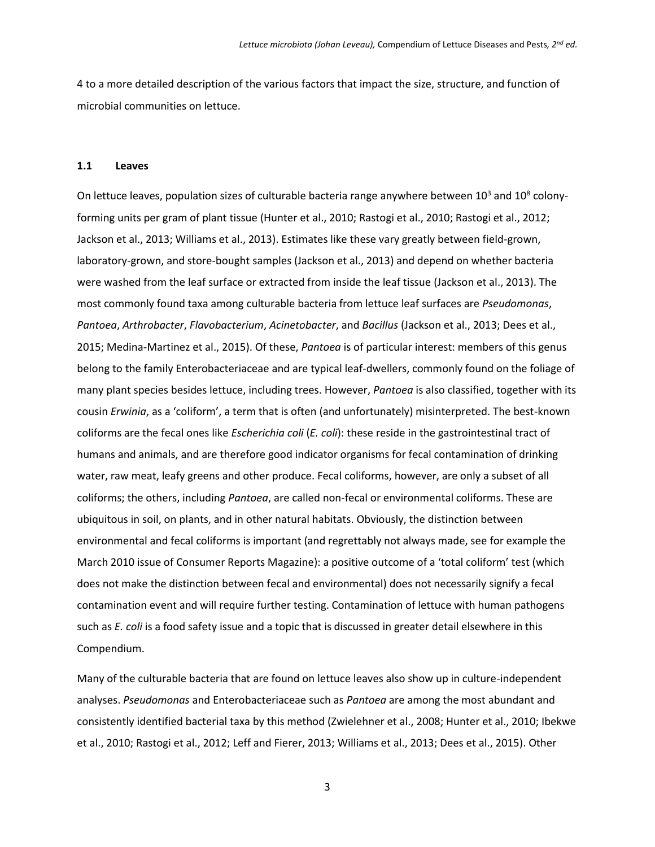4 to a more detailed description of the various factors that impact the size, structure, and function of microbial communities on lettuce.

#### **1.1 Leaves**

On lettuce leaves, population sizes of culturable bacteria range anywhere between  $10^3$  and  $10^8$  colonyforming units per gram of plant tissue [\(Hunter et al., 2010;](#page-9-2) [Rastogi et al., 2010;](#page-10-0) [Rastogi et al., 2012;](#page-10-2) [Jackson et al., 2013;](#page-9-3) [Williams et al., 2013\)](#page-10-3). Estimates like these vary greatly between field-grown, laboratory-grown, and store-bought samples [\(Jackson et al., 2013\)](#page-9-3) and depend on whether bacteria were washed from the leaf surface or extracted from inside the leaf tissue [\(Jackson et al., 2013\)](#page-9-3). The most commonly found taxa among culturable bacteria from lettuce leaf surfaces are *Pseudomonas*, *Pantoea*, *Arthrobacter*, *Flavobacterium*, *Acinetobacter*, and *Bacillus* [\(Jackson et al., 2013;](#page-9-3) [Dees et al.,](#page-9-4)  [2015;](#page-9-4) [Medina-Martinez et al., 2015\)](#page-10-4). Of these, *Pantoea* is of particular interest: members of this genus belong to the family Enterobacteriaceae and are typical leaf-dwellers, commonly found on the foliage of many plant species besides lettuce, including trees. However, *Pantoea* is also classified, together with its cousin *Erwinia*, as a 'coliform', a term that is often (and unfortunately) misinterpreted. The best-known coliforms are the fecal ones like *Escherichia coli* (*E. coli*): these reside in the gastrointestinal tract of humans and animals, and are therefore good indicator organisms for fecal contamination of drinking water, raw meat, leafy greens and other produce. Fecal coliforms, however, are only a subset of all coliforms; the others, including *Pantoea*, are called non-fecal or environmental coliforms. These are ubiquitous in soil, on plants, and in other natural habitats. Obviously, the distinction between environmental and fecal coliforms is important (and regrettably not always made, see for example the March 2010 issue of Consumer Reports Magazine): a positive outcome of a 'total coliform' test (which does not make the distinction between fecal and environmental) does not necessarily signify a fecal contamination event and will require further testing. Contamination of lettuce with human pathogens such as *E. coli* is a food safety issue and a topic that is discussed in greater detail elsewhere in this Compendium.

Many of the culturable bacteria that are found on lettuce leaves also show up in culture-independent analyses. *Pseudomonas* and Enterobacteriaceae such as *Pantoea* are among the most abundant and consistently identified bacterial taxa by this method [\(Zwielehner et al.,](#page-10-1) 2008; [Hunter et al., 2010;](#page-9-2) [Ibekwe](#page-9-5)  [et al., 2010;](#page-9-5) [Rastogi et al., 2012;](#page-10-2) [Leff and Fierer, 2013;](#page-10-5) [Williams et al., 2013;](#page-10-3) [Dees et al., 2015\)](#page-9-4). Other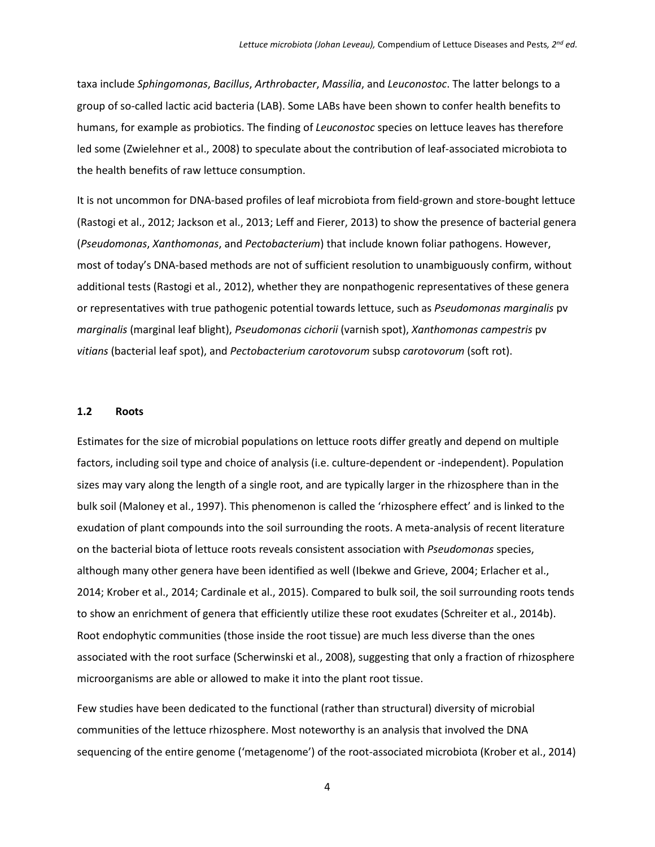taxa include *Sphingomonas*, *Bacillus*, *Arthrobacter*, *Massilia*, and *Leuconostoc*. The latter belongs to a group of so-called lactic acid bacteria (LAB). Some LABs have been shown to confer health benefits to humans, for example as probiotics. The finding of *Leuconostoc* species on lettuce leaves has therefore led some [\(Zwielehner et al., 2008\)](#page-10-1) to speculate about the contribution of leaf-associated microbiota to the health benefits of raw lettuce consumption.

It is not uncommon for DNA-based profiles of leaf microbiota from field-grown and store-bought lettuce [\(Rastogi et al., 2012;](#page-10-2) [Jackson et al., 2013;](#page-9-3) [Leff and Fierer, 2013\)](#page-10-5) to show the presence of bacterial genera (*Pseudomonas*, *Xanthomonas*, and *Pectobacterium*) that include known foliar pathogens. However, most of today's DNA-based methods are not of sufficient resolution to unambiguously confirm, without additional tests [\(Rastogi et al., 2012\)](#page-10-2), whether they are nonpathogenic representatives of these genera or representatives with true pathogenic potential towards lettuce, such as *Pseudomonas marginalis* pv *marginalis* (marginal leaf blight), *Pseudomonas cichorii* (varnish spot), *Xanthomonas campestris* pv *vitians* (bacterial leaf spot), and *Pectobacterium carotovorum* subsp *carotovorum* (soft rot).

# **1.2 Roots**

Estimates for the size of microbial populations on lettuce roots differ greatly and depend on multiple factors, including soil type and choice of analysis (i.e. culture-dependent or -independent). Population sizes may vary along the length of a single root, and are typically larger in the rhizosphere than in the bulk soil [\(Maloney et al., 1997\)](#page-10-6). This phenomenon is called the 'rhizosphere effect' and is linked to the exudation of plant compounds into the soil surrounding the roots. A meta-analysis of recent literature on the bacterial biota of lettuce roots reveals consistent association with *Pseudomonas* species, although many other genera have been identified as well [\(Ibekwe and Grieve, 2004;](#page-9-0) [Erlacher et al.,](#page-9-1)  [2014;](#page-9-1) [Krober et al., 2014;](#page-9-6) [Cardinale et al., 2015\)](#page-9-7). Compared to bulk soil, the soil surrounding roots tends to show an enrichment of genera that efficiently utilize these root exudates [\(Schreiter et al., 2014b\)](#page-10-7). Root endophytic communities (those inside the root tissue) are much less diverse than the ones associated with the root surface [\(Scherwinski et al., 2008\)](#page-10-8), suggesting that only a fraction of rhizosphere microorganisms are able or allowed to make it into the plant root tissue.

Few studies have been dedicated to the functional (rather than structural) diversity of microbial communities of the lettuce rhizosphere. Most noteworthy is an analysis that involved the DNA sequencing of the entire genome ('metagenome') of the root-associated microbiota [\(Krober et al., 2014\)](#page-9-6)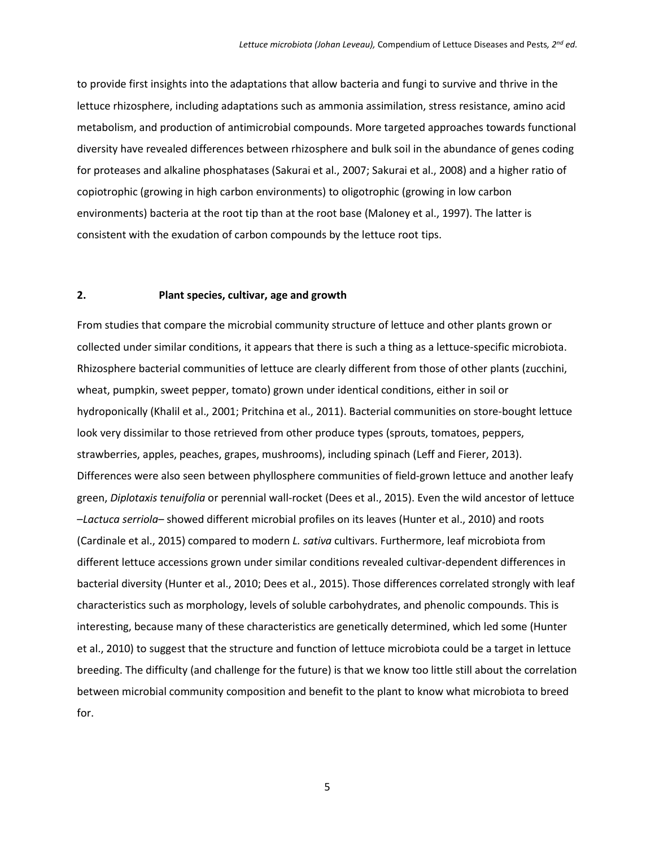to provide first insights into the adaptations that allow bacteria and fungi to survive and thrive in the lettuce rhizosphere, including adaptations such as ammonia assimilation, stress resistance, amino acid metabolism, and production of antimicrobial compounds. More targeted approaches towards functional diversity have revealed differences between rhizosphere and bulk soil in the abundance of genes coding for proteases and alkaline phosphatases [\(Sakurai et al., 2007;](#page-10-9) [Sakurai et al., 2008\)](#page-10-10) and a higher ratio of copiotrophic (growing in high carbon environments) to oligotrophic (growing in low carbon environments) bacteria at the root tip than at the root base [\(Maloney et al., 1997\)](#page-10-6). The latter is consistent with the exudation of carbon compounds by the lettuce root tips.

# **2. Plant species, cultivar, age and growth**

From studies that compare the microbial community structure of lettuce and other plants grown or collected under similar conditions, it appears that there is such a thing as a lettuce-specific microbiota. Rhizosphere bacterial communities of lettuce are clearly different from those of other plants (zucchini, wheat, pumpkin, sweet pepper, tomato) grown under identical conditions, either in soil or hydroponically [\(Khalil et al., 2001;](#page-9-8) [Pritchina et al., 2011\)](#page-10-11). Bacterial communities on store-bought lettuce look very dissimilar to those retrieved from other produce types (sprouts, tomatoes, peppers, strawberries, apples, peaches, grapes, mushrooms), including spinach [\(Leff and Fierer, 2013\)](#page-10-5). Differences were also seen between phyllosphere communities of field-grown lettuce and another leafy green, *Diplotaxis tenuifolia* or perennial wall-rocket [\(Dees et al., 2015\)](#page-9-4). Even the wild ancestor of lettuce –*Lactuca serriola*– showed different microbial profiles on its leaves [\(Hunter et al., 2010\)](#page-9-2) and roots [\(Cardinale et al., 2015\)](#page-9-7) compared to modern *L. sativa* cultivars. Furthermore, leaf microbiota from different lettuce accessions grown under similar conditions revealed cultivar-dependent differences in bacterial diversity [\(Hunter et al., 2010;](#page-9-2) [Dees et al., 2015\)](#page-9-4). Those differences correlated strongly with leaf characteristics such as morphology, levels of soluble carbohydrates, and phenolic compounds. This is interesting, because many of these characteristics are genetically determined, which led some [\(Hunter](#page-9-2)  [et al., 2010\)](#page-9-2) to suggest that the structure and function of lettuce microbiota could be a target in lettuce breeding. The difficulty (and challenge for the future) is that we know too little still about the correlation between microbial community composition and benefit to the plant to know what microbiota to breed for.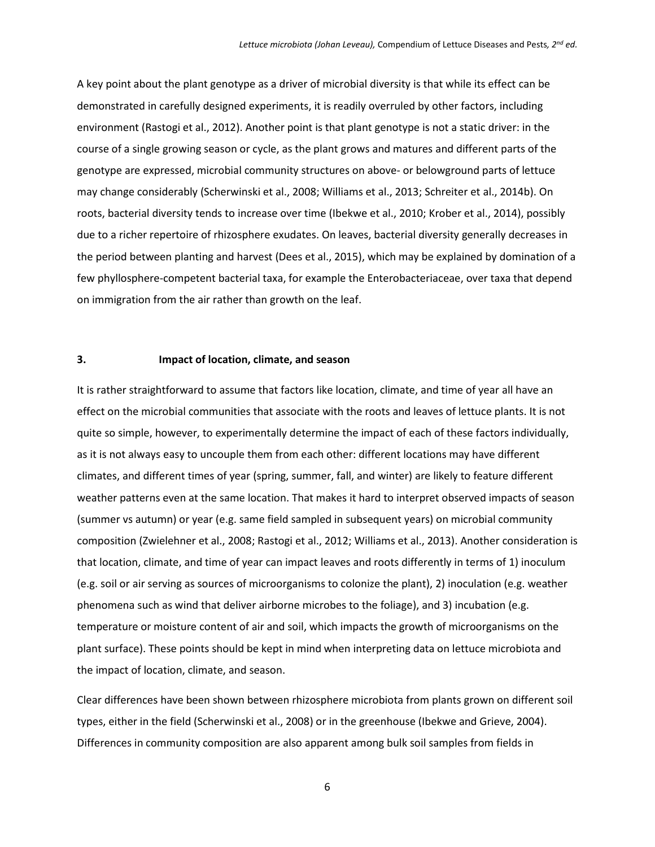A key point about the plant genotype as a driver of microbial diversity is that while its effect can be demonstrated in carefully designed experiments, it is readily overruled by other factors, including environment [\(Rastogi et al., 2012\)](#page-10-2). Another point is that plant genotype is not a static driver: in the course of a single growing season or cycle, as the plant grows and matures and different parts of the genotype are expressed, microbial community structures on above- or belowground parts of lettuce may change considerably [\(Scherwinski et al., 2008;](#page-10-8) [Williams et al., 2013;](#page-10-3) [Schreiter et al., 2014b\)](#page-10-7). On roots, bacterial diversity tends to increase over time [\(Ibekwe et al., 2010;](#page-9-5) [Krober et al., 2014\)](#page-9-6), possibly due to a richer repertoire of rhizosphere exudates. On leaves, bacterial diversity generally decreases in the period between planting and harvest [\(Dees et al., 2015\)](#page-9-4), which may be explained by domination of a few phyllosphere-competent bacterial taxa, for example the Enterobacteriaceae, over taxa that depend on immigration from the air rather than growth on the leaf.

# **3. Impact of location, climate, and season**

It is rather straightforward to assume that factors like location, climate, and time of year all have an effect on the microbial communities that associate with the roots and leaves of lettuce plants. It is not quite so simple, however, to experimentally determine the impact of each of these factors individually, as it is not always easy to uncouple them from each other: different locations may have different climates, and different times of year (spring, summer, fall, and winter) are likely to feature different weather patterns even at the same location. That makes it hard to interpret observed impacts of season (summer vs autumn) or year (e.g. same field sampled in subsequent years) on microbial community composition [\(Zwielehner et al., 2008;](#page-10-1) [Rastogi et al., 2012;](#page-10-2) [Williams et al., 2013\)](#page-10-3). Another consideration is that location, climate, and time of year can impact leaves and roots differently in terms of 1) inoculum (e.g. soil or air serving as sources of microorganisms to colonize the plant), 2) inoculation (e.g. weather phenomena such as wind that deliver airborne microbes to the foliage), and 3) incubation (e.g. temperature or moisture content of air and soil, which impacts the growth of microorganisms on the plant surface). These points should be kept in mind when interpreting data on lettuce microbiota and the impact of location, climate, and season.

Clear differences have been shown between rhizosphere microbiota from plants grown on different soil types, either in the field [\(Scherwinski et al., 2008\)](#page-10-8) or in the greenhouse [\(Ibekwe and Grieve, 2004\)](#page-9-0). Differences in community composition are also apparent among bulk soil samples from fields in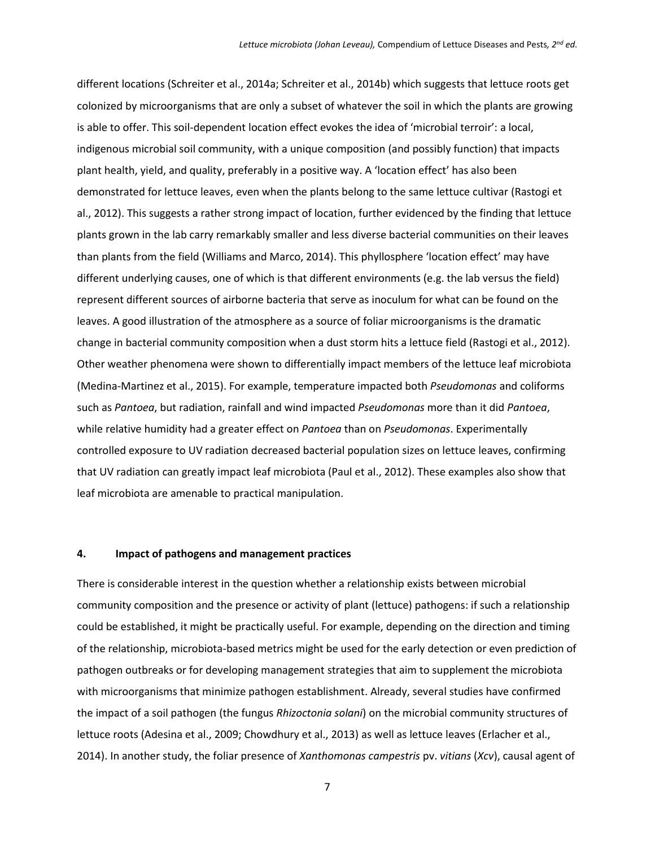different locations [\(Schreiter et al., 2014a;](#page-10-12) [Schreiter et al., 2014b\)](#page-10-7) which suggests that lettuce roots get colonized by microorganisms that are only a subset of whatever the soil in which the plants are growing is able to offer. This soil-dependent location effect evokes the idea of 'microbial terroir': a local, indigenous microbial soil community, with a unique composition (and possibly function) that impacts plant health, yield, and quality, preferably in a positive way. A 'location effect' has also been demonstrated for lettuce leaves, even when the plants belong to the same lettuce cultivar [\(Rastogi et](#page-10-2)  [al., 2012\)](#page-10-2). This suggests a rather strong impact of location, further evidenced by the finding that lettuce plants grown in the lab carry remarkably smaller and less diverse bacterial communities on their leaves than plants from the field [\(Williams and Marco, 2014\)](#page-10-13). This phyllosphere 'location effect' may have different underlying causes, one of which is that different environments (e.g. the lab versus the field) represent different sources of airborne bacteria that serve as inoculum for what can be found on the leaves. A good illustration of the atmosphere as a source of foliar microorganisms is the dramatic change in bacterial community composition when a dust storm hits a lettuce field [\(Rastogi et al., 2012\)](#page-10-2). Other weather phenomena were shown to differentially impact members of the lettuce leaf microbiota [\(Medina-Martinez et al., 2015\)](#page-10-4). For example, temperature impacted both *Pseudomonas* and coliforms such as *Pantoea*, but radiation, rainfall and wind impacted *Pseudomonas* more than it did *Pantoea*, while relative humidity had a greater effect on *Pantoea* than on *Pseudomonas*. Experimentally controlled exposure to UV radiation decreased bacterial population sizes on lettuce leaves, confirming that UV radiation can greatly impact leaf microbiota [\(Paul et al., 2012\)](#page-10-14). These examples also show that leaf microbiota are amenable to practical manipulation.

#### **4. Impact of pathogens and management practices**

There is considerable interest in the question whether a relationship exists between microbial community composition and the presence or activity of plant (lettuce) pathogens: if such a relationship could be established, it might be practically useful. For example, depending on the direction and timing of the relationship, microbiota-based metrics might be used for the early detection or even prediction of pathogen outbreaks or for developing management strategies that aim to supplement the microbiota with microorganisms that minimize pathogen establishment. Already, several studies have confirmed the impact of a soil pathogen (the fungus *Rhizoctonia solani*) on the microbial community structures of lettuce roots [\(Adesina et al., 2009;](#page-9-9) [Chowdhury et al., 2013\)](#page-9-10) as well as lettuce leaves [\(Erlacher et al.,](#page-9-1)  [2014\)](#page-9-1). In another study, the foliar presence of *Xanthomonas campestris* pv. *vitians* (*Xcv*), causal agent of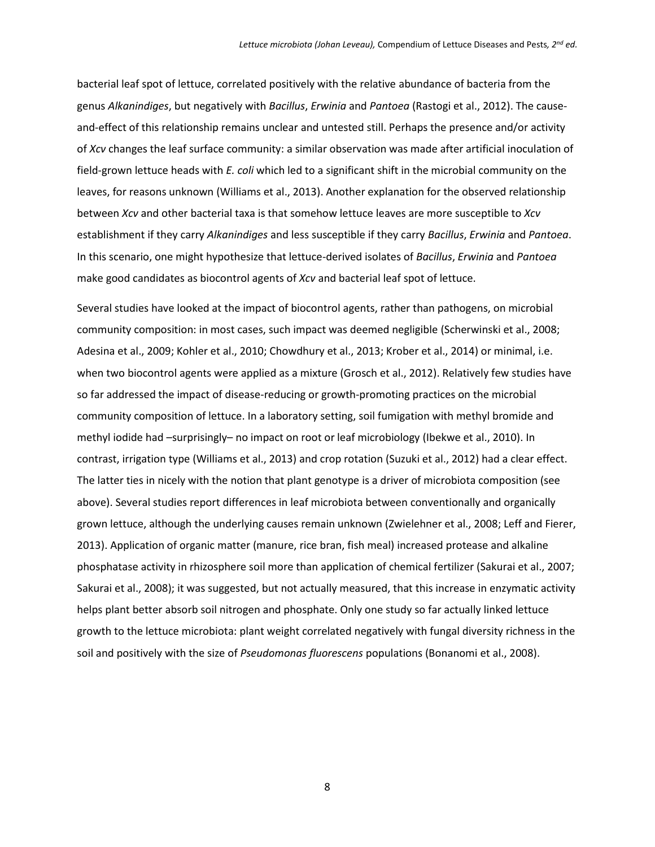bacterial leaf spot of lettuce, correlated positively with the relative abundance of bacteria from the genus *Alkanindiges*, but negatively with *Bacillus*, *Erwinia* and *Pantoea* [\(Rastogi et al., 2012\)](#page-10-2). The causeand-effect of this relationship remains unclear and untested still. Perhaps the presence and/or activity of *Xcv* changes the leaf surface community: a similar observation was made after artificial inoculation of field-grown lettuce heads with *E. coli* which led to a significant shift in the microbial community on the leaves, for reasons unknown [\(Williams et al., 2013\)](#page-10-3). Another explanation for the observed relationship between *Xcv* and other bacterial taxa is that somehow lettuce leaves are more susceptible to *Xcv* establishment if they carry *Alkanindiges* and less susceptible if they carry *Bacillus*, *Erwinia* and *Pantoea*. In this scenario, one might hypothesize that lettuce-derived isolates of *Bacillus*, *Erwinia* and *Pantoea* make good candidates as biocontrol agents of *Xcv* and bacterial leaf spot of lettuce.

Several studies have looked at the impact of biocontrol agents, rather than pathogens, on microbial community composition: in most cases, such impact was deemed negligible [\(Scherwinski et al., 2008;](#page-10-8) [Adesina et al., 2009;](#page-9-9) [Kohler et al., 2010;](#page-9-11) [Chowdhury et al., 2013;](#page-9-10) [Krober et al., 2014\)](#page-9-6) or minimal, i.e. when two biocontrol agents were applied as a mixture [\(Grosch et al., 2012\)](#page-9-12). Relatively few studies have so far addressed the impact of disease-reducing or growth-promoting practices on the microbial community composition of lettuce. In a laboratory setting, soil fumigation with methyl bromide and methyl iodide had –surprisingly– no impact on root or leaf microbiology [\(Ibekwe et al., 2010\)](#page-9-5). In contrast, irrigation type [\(Williams et al., 2013\)](#page-10-3) and crop rotation [\(Suzuki et al., 2012\)](#page-10-15) had a clear effect. The latter ties in nicely with the notion that plant genotype is a driver of microbiota composition (see above). Several studies report differences in leaf microbiota between conventionally and organically grown lettuce, although the underlying causes remain unknown [\(Zwielehner et al., 2008;](#page-10-1) [Leff and Fierer,](#page-10-5)  [2013\)](#page-10-5). Application of organic matter (manure, rice bran, fish meal) increased protease and alkaline phosphatase activity in rhizosphere soil more than application of chemical fertilizer (Sakurai [et al., 2007;](#page-10-9) [Sakurai et al., 2008\)](#page-10-10); it was suggested, but not actually measured, that this increase in enzymatic activity helps plant better absorb soil nitrogen and phosphate. Only one study so far actually linked lettuce growth to the lettuce microbiota: plant weight correlated negatively with fungal diversity richness in the soil and positively with the size of *Pseudomonas fluorescens* populations [\(Bonanomi et al., 2008\)](#page-9-13).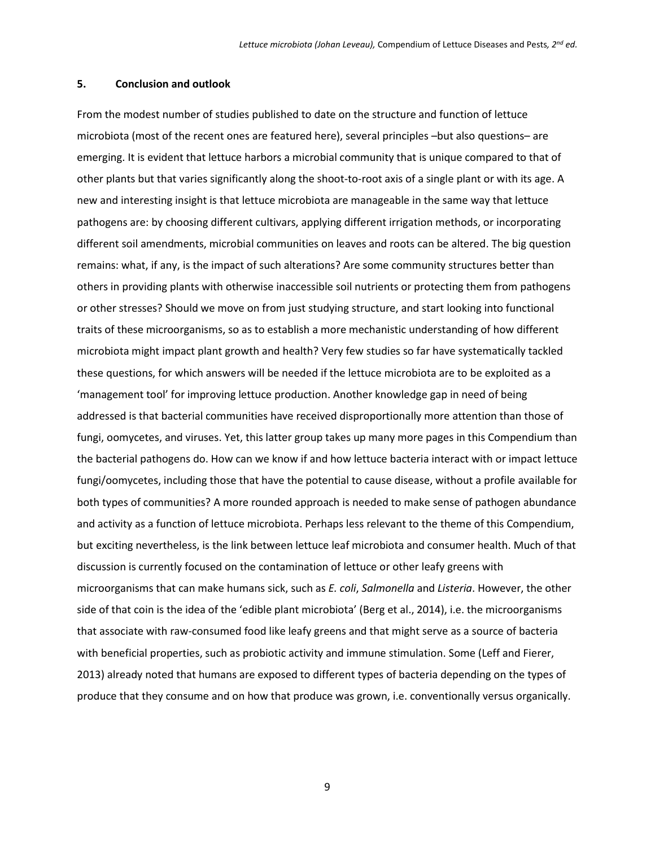## **5. Conclusion and outlook**

From the modest number of studies published to date on the structure and function of lettuce microbiota (most of the recent ones are featured here), several principles –but also questions– are emerging. It is evident that lettuce harbors a microbial community that is unique compared to that of other plants but that varies significantly along the shoot-to-root axis of a single plant or with its age. A new and interesting insight is that lettuce microbiota are manageable in the same way that lettuce pathogens are: by choosing different cultivars, applying different irrigation methods, or incorporating different soil amendments, microbial communities on leaves and roots can be altered. The big question remains: what, if any, is the impact of such alterations? Are some community structures better than others in providing plants with otherwise inaccessible soil nutrients or protecting them from pathogens or other stresses? Should we move on from just studying structure, and start looking into functional traits of these microorganisms, so as to establish a more mechanistic understanding of how different microbiota might impact plant growth and health? Very few studies so far have systematically tackled these questions, for which answers will be needed if the lettuce microbiota are to be exploited as a 'management tool' for improving lettuce production. Another knowledge gap in need of being addressed is that bacterial communities have received disproportionally more attention than those of fungi, oomycetes, and viruses. Yet, this latter group takes up many more pages in this Compendium than the bacterial pathogens do. How can we know if and how lettuce bacteria interact with or impact lettuce fungi/oomycetes, including those that have the potential to cause disease, without a profile available for both types of communities? A more rounded approach is needed to make sense of pathogen abundance and activity as a function of lettuce microbiota. Perhaps less relevant to the theme of this Compendium, but exciting nevertheless, is the link between lettuce leaf microbiota and consumer health. Much of that discussion is currently focused on the contamination of lettuce or other leafy greens with microorganisms that can make humans sick, such as *E. coli*, *Salmonella* and *Listeria*. However, the other side of that coin is the idea of the 'edible plant microbiota' [\(Berg et al., 2014\)](#page-9-14), i.e. the microorganisms that associate with raw-consumed food like leafy greens and that might serve as a source of bacteria with beneficial properties, such as probiotic activity and immune stimulation. Some [\(Leff and Fierer,](#page-10-5)  [2013\)](#page-10-5) already noted that humans are exposed to different types of bacteria depending on the types of produce that they consume and on how that produce was grown, i.e. conventionally versus organically.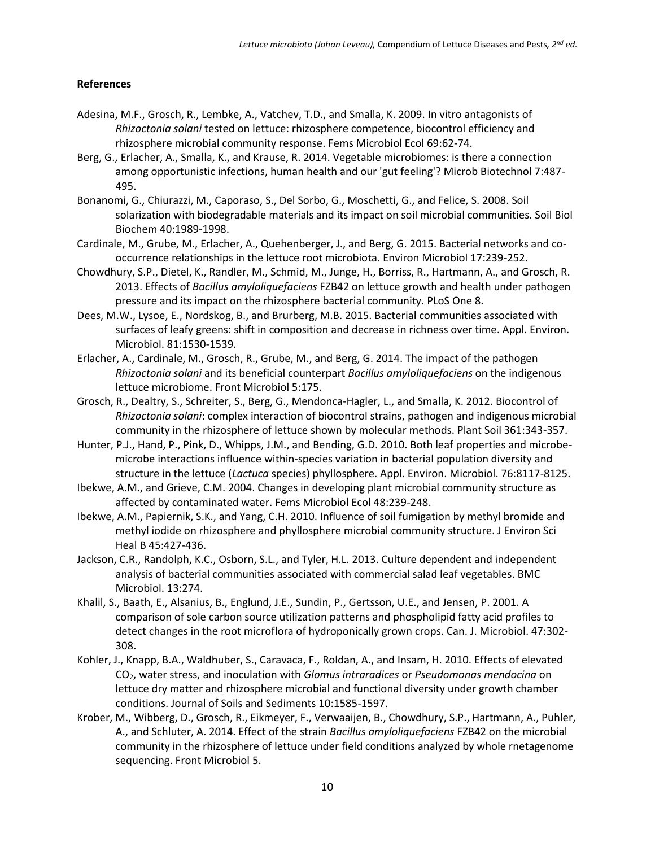# **References**

- <span id="page-9-9"></span>Adesina, M.F., Grosch, R., Lembke, A., Vatchev, T.D., and Smalla, K. 2009. In vitro antagonists of *Rhizoctonia solani* tested on lettuce: rhizosphere competence, biocontrol efficiency and rhizosphere microbial community response. Fems Microbiol Ecol 69:62-74.
- <span id="page-9-14"></span>Berg, G., Erlacher, A., Smalla, K., and Krause, R. 2014. Vegetable microbiomes: is there a connection among opportunistic infections, human health and our 'gut feeling'? Microb Biotechnol 7:487- 495.
- <span id="page-9-13"></span>Bonanomi, G., Chiurazzi, M., Caporaso, S., Del Sorbo, G., Moschetti, G., and Felice, S. 2008. Soil solarization with biodegradable materials and its impact on soil microbial communities. Soil Biol Biochem 40:1989-1998.
- <span id="page-9-7"></span>Cardinale, M., Grube, M., Erlacher, A., Quehenberger, J., and Berg, G. 2015. Bacterial networks and cooccurrence relationships in the lettuce root microbiota. Environ Microbiol 17:239-252.
- <span id="page-9-10"></span>Chowdhury, S.P., Dietel, K., Randler, M., Schmid, M., Junge, H., Borriss, R., Hartmann, A., and Grosch, R. 2013. Effects of *Bacillus amyloliquefaciens* FZB42 on lettuce growth and health under pathogen pressure and its impact on the rhizosphere bacterial community. PLoS One 8.
- <span id="page-9-4"></span>Dees, M.W., Lysoe, E., Nordskog, B., and Brurberg, M.B. 2015. Bacterial communities associated with surfaces of leafy greens: shift in composition and decrease in richness over time. Appl. Environ. Microbiol. 81:1530-1539.
- <span id="page-9-1"></span>Erlacher, A., Cardinale, M., Grosch, R., Grube, M., and Berg, G. 2014. The impact of the pathogen *Rhizoctonia solani* and its beneficial counterpart *Bacillus amyloliquefaciens* on the indigenous lettuce microbiome. Front Microbiol 5:175.
- <span id="page-9-12"></span>Grosch, R., Dealtry, S., Schreiter, S., Berg, G., Mendonca-Hagler, L., and Smalla, K. 2012. Biocontrol of *Rhizoctonia solani*: complex interaction of biocontrol strains, pathogen and indigenous microbial community in the rhizosphere of lettuce shown by molecular methods. Plant Soil 361:343-357.
- <span id="page-9-2"></span>Hunter, P.J., Hand, P., Pink, D., Whipps, J.M., and Bending, G.D. 2010. Both leaf properties and microbemicrobe interactions influence within-species variation in bacterial population diversity and structure in the lettuce (*Lactuca* species) phyllosphere. Appl. Environ. Microbiol. 76:8117-8125.
- <span id="page-9-0"></span>Ibekwe, A.M., and Grieve, C.M. 2004. Changes in developing plant microbial community structure as affected by contaminated water. Fems Microbiol Ecol 48:239-248.
- <span id="page-9-5"></span>Ibekwe, A.M., Papiernik, S.K., and Yang, C.H. 2010. Influence of soil fumigation by methyl bromide and methyl iodide on rhizosphere and phyllosphere microbial community structure. J Environ Sci Heal B 45:427-436.
- <span id="page-9-3"></span>Jackson, C.R., Randolph, K.C., Osborn, S.L., and Tyler, H.L. 2013. Culture dependent and independent analysis of bacterial communities associated with commercial salad leaf vegetables. BMC Microbiol. 13:274.
- <span id="page-9-8"></span>Khalil, S., Baath, E., Alsanius, B., Englund, J.E., Sundin, P., Gertsson, U.E., and Jensen, P. 2001. A comparison of sole carbon source utilization patterns and phospholipid fatty acid profiles to detect changes in the root microflora of hydroponically grown crops. Can. J. Microbiol. 47:302- 308.
- <span id="page-9-11"></span>Kohler, J., Knapp, B.A., Waldhuber, S., Caravaca, F., Roldan, A., and Insam, H. 2010. Effects of elevated CO2, water stress, and inoculation with *Glomus intraradices* or *Pseudomonas mendocina* on lettuce dry matter and rhizosphere microbial and functional diversity under growth chamber conditions. Journal of Soils and Sediments 10:1585-1597.
- <span id="page-9-6"></span>Krober, M., Wibberg, D., Grosch, R., Eikmeyer, F., Verwaaijen, B., Chowdhury, S.P., Hartmann, A., Puhler, A., and Schluter, A. 2014. Effect of the strain *Bacillus amyloliquefaciens* FZB42 on the microbial community in the rhizosphere of lettuce under field conditions analyzed by whole rnetagenome sequencing. Front Microbiol 5.